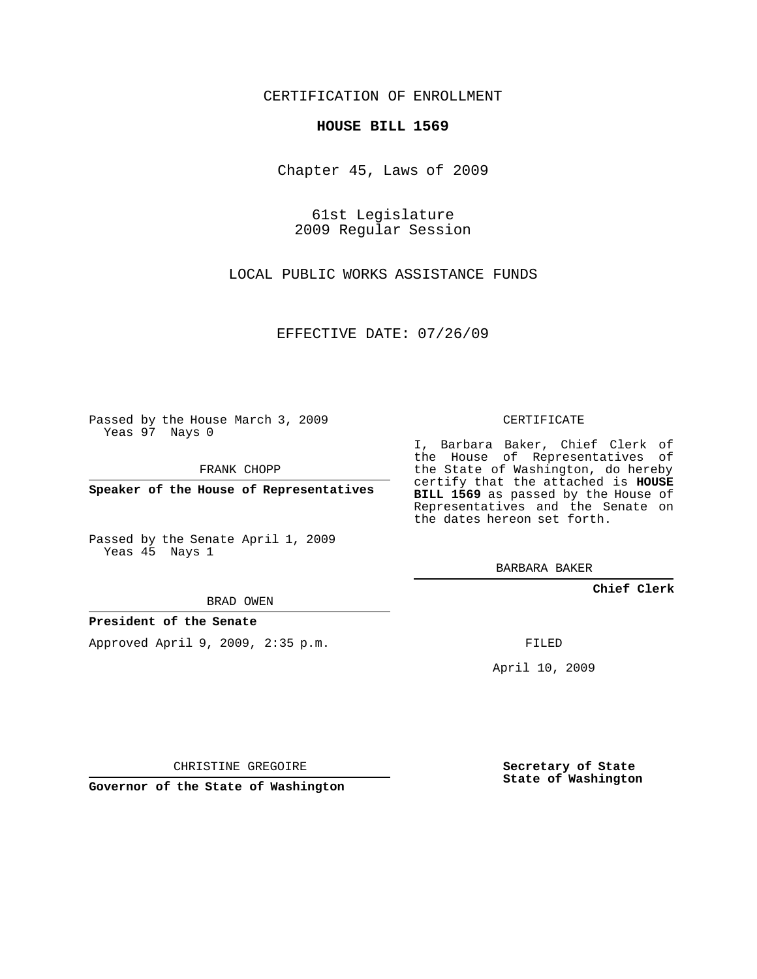## CERTIFICATION OF ENROLLMENT

## **HOUSE BILL 1569**

Chapter 45, Laws of 2009

61st Legislature 2009 Regular Session

LOCAL PUBLIC WORKS ASSISTANCE FUNDS

EFFECTIVE DATE: 07/26/09

Passed by the House March 3, 2009 Yeas 97 Nays 0

FRANK CHOPP

**Speaker of the House of Representatives**

Passed by the Senate April 1, 2009 Yeas 45 Nays 1

BRAD OWEN

## **President of the Senate**

Approved April 9, 2009, 2:35 p.m.

CERTIFICATE

I, Barbara Baker, Chief Clerk of the House of Representatives of the State of Washington, do hereby certify that the attached is **HOUSE BILL 1569** as passed by the House of Representatives and the Senate on the dates hereon set forth.

BARBARA BAKER

**Chief Clerk**

FILED

April 10, 2009

CHRISTINE GREGOIRE

**Governor of the State of Washington**

**Secretary of State State of Washington**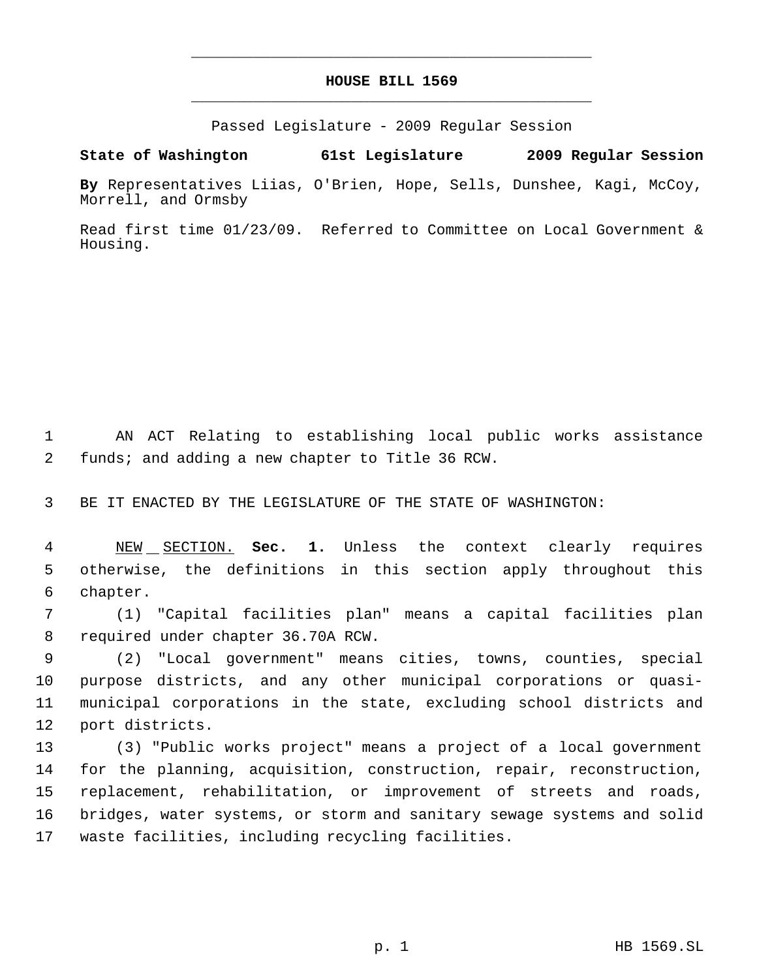## **HOUSE BILL 1569** \_\_\_\_\_\_\_\_\_\_\_\_\_\_\_\_\_\_\_\_\_\_\_\_\_\_\_\_\_\_\_\_\_\_\_\_\_\_\_\_\_\_\_\_\_

\_\_\_\_\_\_\_\_\_\_\_\_\_\_\_\_\_\_\_\_\_\_\_\_\_\_\_\_\_\_\_\_\_\_\_\_\_\_\_\_\_\_\_\_\_

Passed Legislature - 2009 Regular Session

**State of Washington 61st Legislature 2009 Regular Session**

**By** Representatives Liias, O'Brien, Hope, Sells, Dunshee, Kagi, McCoy, Morrell, and Ormsby

Read first time 01/23/09. Referred to Committee on Local Government & Housing.

 AN ACT Relating to establishing local public works assistance funds; and adding a new chapter to Title 36 RCW.

BE IT ENACTED BY THE LEGISLATURE OF THE STATE OF WASHINGTON:

 NEW SECTION. **Sec. 1.** Unless the context clearly requires otherwise, the definitions in this section apply throughout this chapter.

 (1) "Capital facilities plan" means a capital facilities plan required under chapter 36.70A RCW.

 (2) "Local government" means cities, towns, counties, special purpose districts, and any other municipal corporations or quasi- municipal corporations in the state, excluding school districts and port districts.

 (3) "Public works project" means a project of a local government for the planning, acquisition, construction, repair, reconstruction, replacement, rehabilitation, or improvement of streets and roads, bridges, water systems, or storm and sanitary sewage systems and solid waste facilities, including recycling facilities.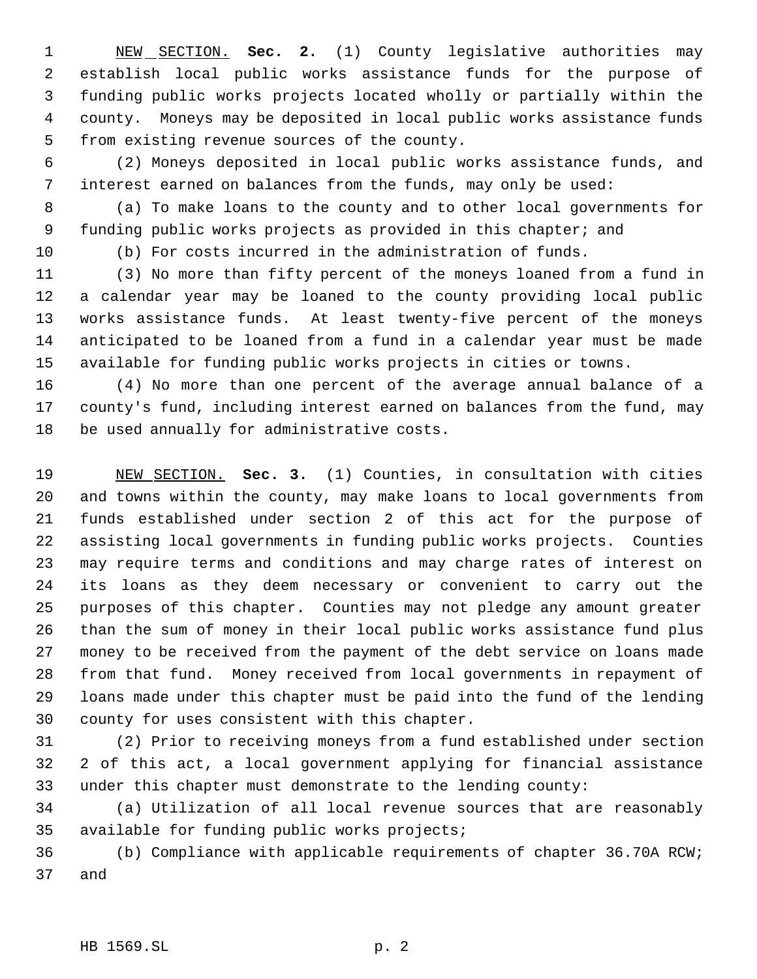NEW SECTION. **Sec. 2.** (1) County legislative authorities may establish local public works assistance funds for the purpose of funding public works projects located wholly or partially within the county. Moneys may be deposited in local public works assistance funds from existing revenue sources of the county.

 (2) Moneys deposited in local public works assistance funds, and interest earned on balances from the funds, may only be used:

 (a) To make loans to the county and to other local governments for funding public works projects as provided in this chapter; and

(b) For costs incurred in the administration of funds.

 (3) No more than fifty percent of the moneys loaned from a fund in a calendar year may be loaned to the county providing local public works assistance funds. At least twenty-five percent of the moneys anticipated to be loaned from a fund in a calendar year must be made available for funding public works projects in cities or towns.

 (4) No more than one percent of the average annual balance of a county's fund, including interest earned on balances from the fund, may be used annually for administrative costs.

 NEW SECTION. **Sec. 3.** (1) Counties, in consultation with cities and towns within the county, may make loans to local governments from funds established under section 2 of this act for the purpose of assisting local governments in funding public works projects. Counties may require terms and conditions and may charge rates of interest on its loans as they deem necessary or convenient to carry out the purposes of this chapter. Counties may not pledge any amount greater than the sum of money in their local public works assistance fund plus money to be received from the payment of the debt service on loans made from that fund. Money received from local governments in repayment of loans made under this chapter must be paid into the fund of the lending county for uses consistent with this chapter.

 (2) Prior to receiving moneys from a fund established under section 2 of this act, a local government applying for financial assistance under this chapter must demonstrate to the lending county:

 (a) Utilization of all local revenue sources that are reasonably available for funding public works projects;

 (b) Compliance with applicable requirements of chapter 36.70A RCW; and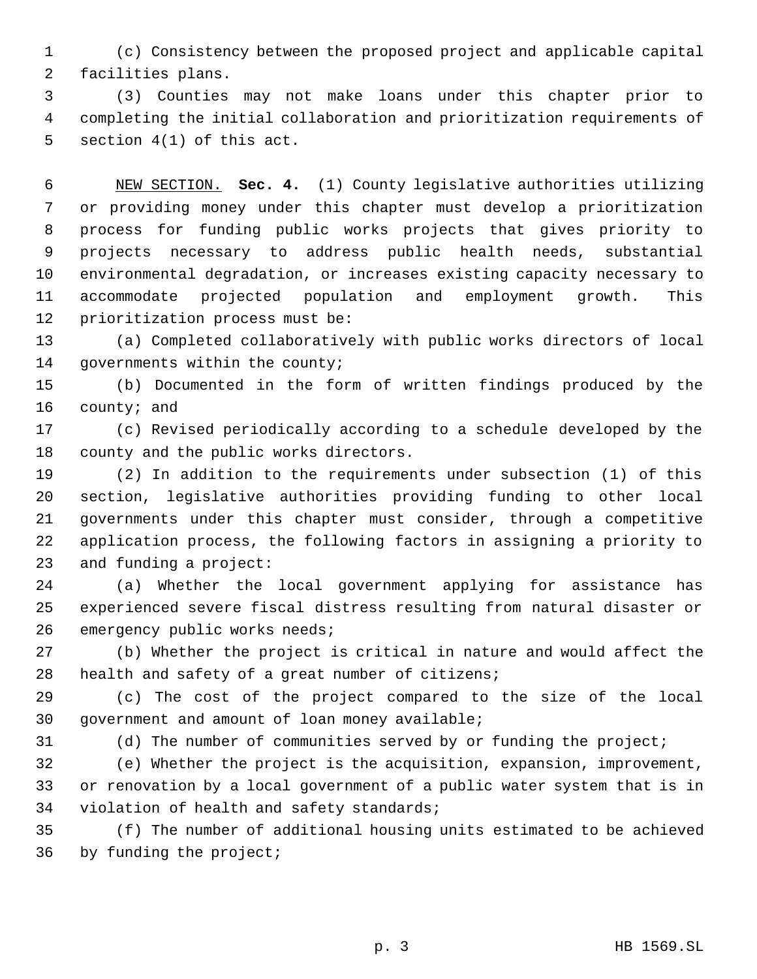(c) Consistency between the proposed project and applicable capital facilities plans.

 (3) Counties may not make loans under this chapter prior to completing the initial collaboration and prioritization requirements of section 4(1) of this act.

 NEW SECTION. **Sec. 4.** (1) County legislative authorities utilizing or providing money under this chapter must develop a prioritization process for funding public works projects that gives priority to projects necessary to address public health needs, substantial environmental degradation, or increases existing capacity necessary to accommodate projected population and employment growth. This prioritization process must be:

 (a) Completed collaboratively with public works directors of local governments within the county;

 (b) Documented in the form of written findings produced by the county; and

 (c) Revised periodically according to a schedule developed by the county and the public works directors.

 (2) In addition to the requirements under subsection (1) of this section, legislative authorities providing funding to other local governments under this chapter must consider, through a competitive application process, the following factors in assigning a priority to and funding a project:

 (a) Whether the local government applying for assistance has experienced severe fiscal distress resulting from natural disaster or emergency public works needs;

 (b) Whether the project is critical in nature and would affect the health and safety of a great number of citizens;

 (c) The cost of the project compared to the size of the local government and amount of loan money available;

(d) The number of communities served by or funding the project;

 (e) Whether the project is the acquisition, expansion, improvement, or renovation by a local government of a public water system that is in violation of health and safety standards;

 (f) The number of additional housing units estimated to be achieved by funding the project;